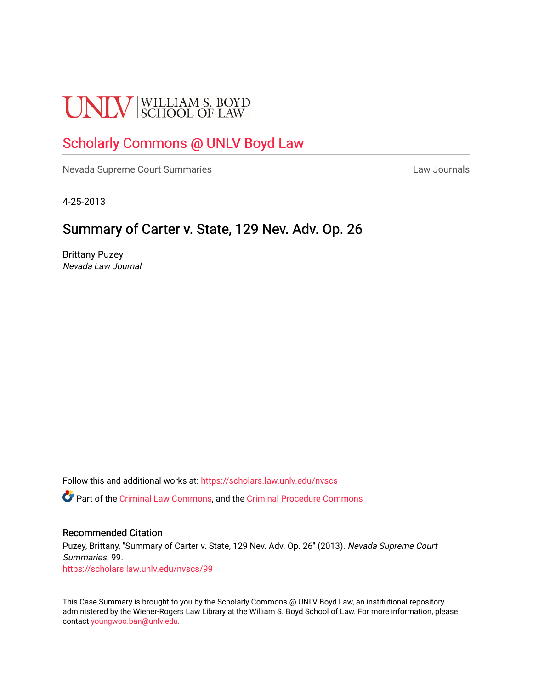# **UNLV** SCHOOL OF LAW

## [Scholarly Commons @ UNLV Boyd Law](https://scholars.law.unlv.edu/)

[Nevada Supreme Court Summaries](https://scholars.law.unlv.edu/nvscs) **Law Journals** Law Journals

4-25-2013

### Summary of Carter v. State, 129 Nev. Adv. Op. 26

Brittany Puzey Nevada Law Journal

Follow this and additional works at: [https://scholars.law.unlv.edu/nvscs](https://scholars.law.unlv.edu/nvscs?utm_source=scholars.law.unlv.edu%2Fnvscs%2F99&utm_medium=PDF&utm_campaign=PDFCoverPages)

Part of the [Criminal Law Commons,](http://network.bepress.com/hgg/discipline/912?utm_source=scholars.law.unlv.edu%2Fnvscs%2F99&utm_medium=PDF&utm_campaign=PDFCoverPages) and the [Criminal Procedure Commons](http://network.bepress.com/hgg/discipline/1073?utm_source=scholars.law.unlv.edu%2Fnvscs%2F99&utm_medium=PDF&utm_campaign=PDFCoverPages)

#### Recommended Citation

Puzey, Brittany, "Summary of Carter v. State, 129 Nev. Adv. Op. 26" (2013). Nevada Supreme Court Summaries. 99. [https://scholars.law.unlv.edu/nvscs/99](https://scholars.law.unlv.edu/nvscs/99?utm_source=scholars.law.unlv.edu%2Fnvscs%2F99&utm_medium=PDF&utm_campaign=PDFCoverPages) 

This Case Summary is brought to you by the Scholarly Commons @ UNLV Boyd Law, an institutional repository administered by the Wiener-Rogers Law Library at the William S. Boyd School of Law. For more information, please contact [youngwoo.ban@unlv.edu](mailto:youngwoo.ban@unlv.edu).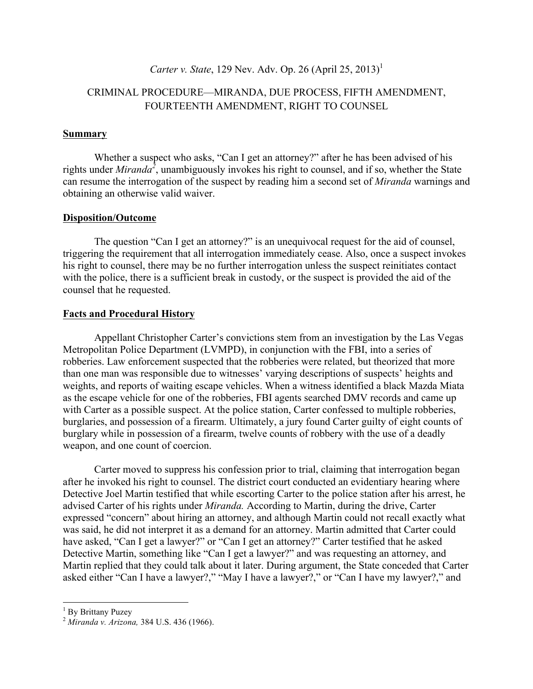#### *Carter v. State*, 129 Nev. Adv. Op. 26 (April 25, 2013)<sup>1</sup>

#### CRIMINAL PROCEDURE—MIRANDA, DUE PROCESS, FIFTH AMENDMENT, FOURTEENTH AMENDMENT, RIGHT TO COUNSEL

#### **Summary**

Whether a suspect who asks, "Can I get an attorney?" after he has been advised of his rights under *Miranda<sup>2</sup>* , unambiguously invokes his right to counsel, and if so, whether the State can resume the interrogation of the suspect by reading him a second set of *Miranda* warnings and obtaining an otherwise valid waiver.

#### **Disposition/Outcome**

The question "Can I get an attorney?" is an unequivocal request for the aid of counsel, triggering the requirement that all interrogation immediately cease. Also, once a suspect invokes his right to counsel, there may be no further interrogation unless the suspect reinitiates contact with the police, there is a sufficient break in custody, or the suspect is provided the aid of the counsel that he requested.

#### **Facts and Procedural History**

Appellant Christopher Carter's convictions stem from an investigation by the Las Vegas Metropolitan Police Department (LVMPD), in conjunction with the FBI, into a series of robberies. Law enforcement suspected that the robberies were related, but theorized that more than one man was responsible due to witnesses' varying descriptions of suspects' heights and weights, and reports of waiting escape vehicles. When a witness identified a black Mazda Miata as the escape vehicle for one of the robberies, FBI agents searched DMV records and came up with Carter as a possible suspect. At the police station, Carter confessed to multiple robberies, burglaries, and possession of a firearm. Ultimately, a jury found Carter guilty of eight counts of burglary while in possession of a firearm, twelve counts of robbery with the use of a deadly weapon, and one count of coercion.

Carter moved to suppress his confession prior to trial, claiming that interrogation began after he invoked his right to counsel. The district court conducted an evidentiary hearing where Detective Joel Martin testified that while escorting Carter to the police station after his arrest, he advised Carter of his rights under *Miranda.* According to Martin, during the drive, Carter expressed "concern" about hiring an attorney, and although Martin could not recall exactly what was said, he did not interpret it as a demand for an attorney. Martin admitted that Carter could have asked, "Can I get a lawyer?" or "Can I get an attorney?" Carter testified that he asked Detective Martin, something like "Can I get a lawyer?" and was requesting an attorney, and Martin replied that they could talk about it later. During argument, the State conceded that Carter asked either "Can I have a lawyer?," "May I have a lawyer?," or "Can I have my lawyer?," and

 

<sup>1</sup> By Brittany Puzey <sup>2</sup> *Miranda v. Arizona,* 384 U.S. 436 (1966).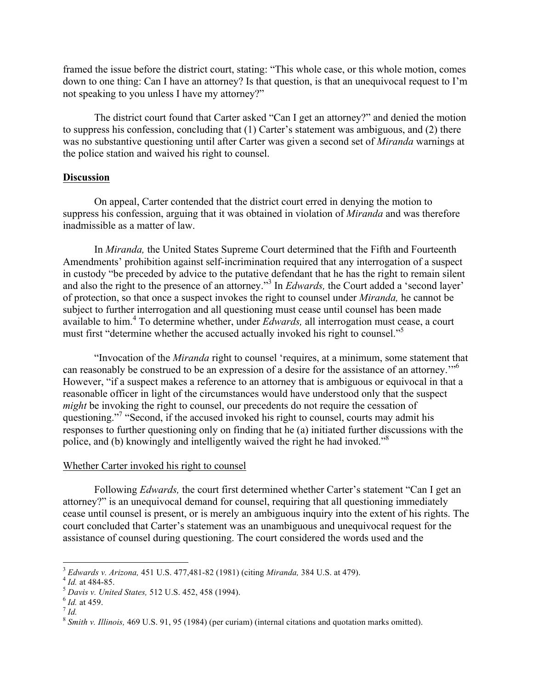framed the issue before the district court, stating: "This whole case, or this whole motion, comes down to one thing: Can I have an attorney? Is that question, is that an unequivocal request to I'm not speaking to you unless I have my attorney?"

The district court found that Carter asked "Can I get an attorney?" and denied the motion to suppress his confession, concluding that (1) Carter's statement was ambiguous, and (2) there was no substantive questioning until after Carter was given a second set of *Miranda* warnings at the police station and waived his right to counsel.

#### **Discussion**

On appeal, Carter contended that the district court erred in denying the motion to suppress his confession, arguing that it was obtained in violation of *Miranda* and was therefore inadmissible as a matter of law.

In *Miranda,* the United States Supreme Court determined that the Fifth and Fourteenth Amendments' prohibition against self-incrimination required that any interrogation of a suspect in custody "be preceded by advice to the putative defendant that he has the right to remain silent and also the right to the presence of an attorney." <sup>3</sup> In *Edwards,* the Court added a 'second layer' of protection, so that once a suspect invokes the right to counsel under *Miranda,* he cannot be subject to further interrogation and all questioning must cease until counsel has been made available to him.<sup>4</sup> To determine whether, under *Edwards,* all interrogation must cease, a court must first "determine whether the accused actually invoked his right to counsel." 5

"Invocation of the *Miranda* right to counsel 'requires, at a minimum, some statement that can reasonably be construed to be an expression of a desire for the assistance of an attorney."<sup>6</sup> However, "if a suspect makes a reference to an attorney that is ambiguous or equivocal in that a reasonable officer in light of the circumstances would have understood only that the suspect *might* be invoking the right to counsel, our precedents do not require the cessation of questioning."<sup>7</sup> "Second, if the accused invoked his right to counsel, courts may admit his responses to further questioning only on finding that he (a) initiated further discussions with the police, and (b) knowingly and intelligently waived the right he had invoked."<sup>8</sup>

#### Whether Carter invoked his right to counsel

Following *Edwards,* the court first determined whether Carter's statement "Can I get an attorney?" is an unequivocal demand for counsel, requiring that all questioning immediately cease until counsel is present, or is merely an ambiguous inquiry into the extent of his rights. The court concluded that Carter's statement was an unambiguous and unequivocal request for the assistance of counsel during questioning. The court considered the words used and the

 

<sup>&</sup>lt;sup>3</sup> Edwards v. Arizona, 451 U.S. 477,481-82 (1981) (citing Miranda, 384 U.S. at 479).<br>
<sup>4</sup> Id. at 484-85.<br>
<sup>5</sup> Davis v. United States, 512 U.S. 452, 458 (1994).<br>
<sup>6</sup> Id. at 459.<br>
<sup>7</sup> Id.<br>
<sup>8</sup> Smith v. Illinois, 469 U.S. 9